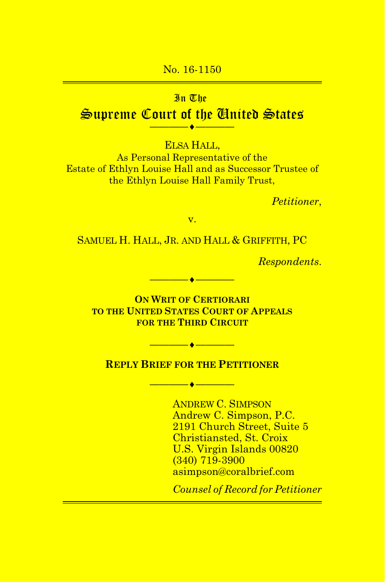#### No. 16-1150

#### In The

### **Supreme Court of the United States ————**¨**————**

ELSA HALL,

As Personal Representative of the Estate of Ethlyn Louise Hall and as Successor Trustee of the Ethlyn Louise Hall Family Trust,

*Petitioner*,

v.

SAMUEL H. HALL, JR. AND HALL & GRIFFITH, PC

*Respondents*.

**ON WRIT OF CERTIORARI TO THE UNITED STATES COURT OF APPEALS FOR THE THIRD CIRCUIT**

**————**¨**————**

#### **REPLY BRIEF FOR THE PETITIONER**

**————**¨**————**

**————**¨**————**

ANDREW C. SIMPSON Andrew C. Simpson, P.C. 2191 Church Street, Suite 5 Christiansted, St. Croix U.S. Virgin Islands 00820 (340) 719-3900 asimpson@coralbrief.com

*Counsel of Record for Petitioner*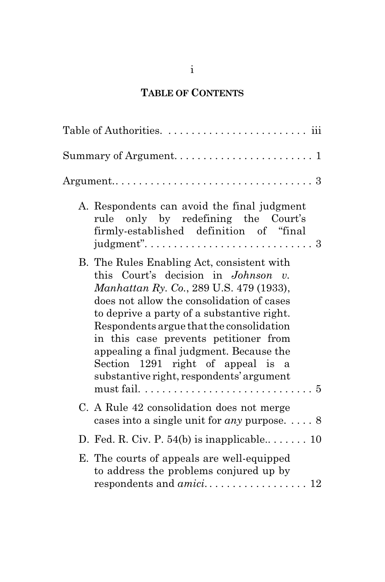## **TABLE OF CONTENTS**

| A. Respondents can avoid the final judgment<br>rule only by redefining the Court's<br>firmly-established definition of "final<br>judgment". $\dots \dots \dots \dots \dots \dots \dots \dots \dots \dots$                                                                                                                                                                                                                                                                                                                  |
|----------------------------------------------------------------------------------------------------------------------------------------------------------------------------------------------------------------------------------------------------------------------------------------------------------------------------------------------------------------------------------------------------------------------------------------------------------------------------------------------------------------------------|
| B. The Rules Enabling Act, consistent with<br>this Court's decision in Johnson v.<br>Manhattan Ry. Co., 289 U.S. 479 (1933),<br>does not allow the consolidation of cases<br>to deprive a party of a substantive right.<br>Respondents argue that the consolidation<br>in this case prevents petitioner from<br>appealing a final judgment. Because the<br>Section 1291 right of appeal is a<br>substantive right, respondents' argument<br>must fail. $\dots \dots \dots \dots \dots \dots \dots \dots \dots \dots \dots$ |
| C. A Rule 42 consolidation does not merge<br>cases into a single unit for <i>any</i> purpose. $\dots$ 8                                                                                                                                                                                                                                                                                                                                                                                                                    |
| D. Fed. R. Civ. P. $54(b)$ is inapplicable 10                                                                                                                                                                                                                                                                                                                                                                                                                                                                              |
| E. The courts of appeals are well-equipped<br>to address the problems conjured up by                                                                                                                                                                                                                                                                                                                                                                                                                                       |

i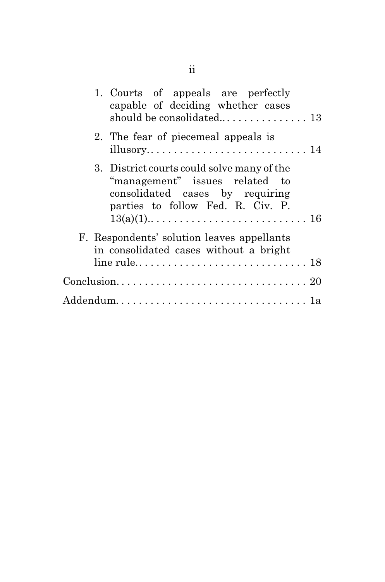| 1. Courts of appeals are perfectly<br>capable of deciding whether cases                                                                              |
|------------------------------------------------------------------------------------------------------------------------------------------------------|
| 2. The fear of piecemeal appeals is                                                                                                                  |
| 3. District courts could solve many of the<br>"management" issues related to<br>consolidated cases by requiring<br>parties to follow Fed. R. Civ. P. |
| F. Respondents' solution leaves appellants<br>in consolidated cases without a bright                                                                 |
|                                                                                                                                                      |
|                                                                                                                                                      |
|                                                                                                                                                      |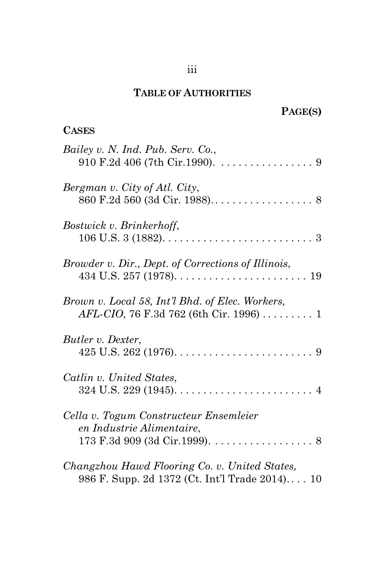### **TABLE OF AUTHORITIES**

# **PAGE(S)**

### **CASES**

| Bailey v. N. Ind. Pub. Serv. Co.,<br>$910$ F.2d 406 (7th Cir.1990). 9                           |
|-------------------------------------------------------------------------------------------------|
| Bergman v. City of Atl. City,                                                                   |
| Bostwick v. Brinkerhoff,                                                                        |
| Browder v. Dir., Dept. of Corrections of Illinois,                                              |
| Brown v. Local 58, Int'l Bhd. of Elec. Workers,<br>AFL-CIO, 76 F.3d 762 (6th Cir. 1996)  1      |
| Butler v. Dexter,                                                                               |
| Catlin v. United States,                                                                        |
| Cella v. Togum Constructeur Ensemleier<br>en Industrie Alimentaire,                             |
| Changzhou Hawd Flooring Co. v. United States,<br>986 F. Supp. 2d 1372 (Ct. Int'l Trade 2014) 10 |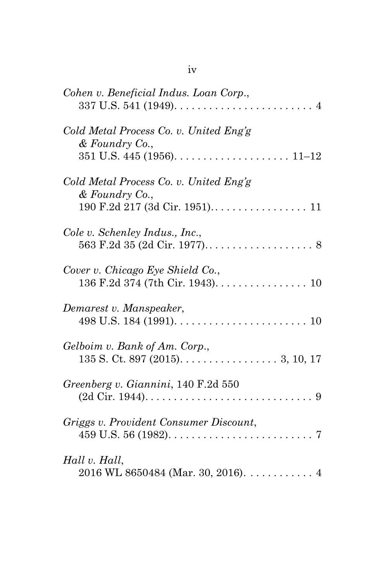| Cohen v. Beneficial Indus. Loan Corp.,<br>$337 \text{ U.S. } 541 \text{ (1949)}. \ldots \ldots \ldots \ldots \ldots \ldots \ldots \ldots \ldots \ldots \ldots$ |
|----------------------------------------------------------------------------------------------------------------------------------------------------------------|
| Cold Metal Process Co. v. United Eng's<br>& Foundry Co.,                                                                                                       |
| Cold Metal Process Co. v. United Eng'g<br>& Foundry Co.,                                                                                                       |
| Cole v. Schenley Indus., Inc.,                                                                                                                                 |
| Cover v. Chicago Eye Shield Co.,                                                                                                                               |
| Demarest v. Manspeaker,                                                                                                                                        |
| Gelboim v. Bank of Am. Corp.,                                                                                                                                  |
| Greenberg v. Giannini, 140 F.2d 550                                                                                                                            |
| Griggs v. Provident Consumer Discount,                                                                                                                         |
| Hall v. Hall,<br>2016 WL 8650484 (Mar. 30, 2016). $\dots \dots \dots$ 4                                                                                        |

| om. |    |
|-----|----|
|     | ۰, |
|     |    |
|     |    |
|     |    |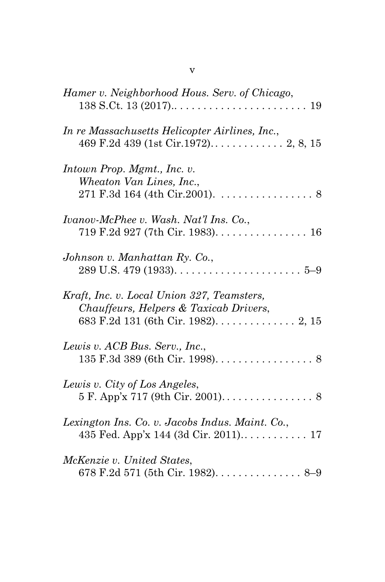| Hamer v. Neighborhood Hous. Serv. of Chicago,                                                                                 |
|-------------------------------------------------------------------------------------------------------------------------------|
| In re Massachusetts Helicopter Airlines, Inc.,                                                                                |
| Intown Prop. Mgmt., Inc. v.<br>Wheaton Van Lines, Inc.,<br>$271$ F.3d 164 (4th Cir.2001). 8                                   |
| Ivanov-McPhee v. Wash. Nat'l Ins. Co.,<br>719 F.2d 927 (7th Cir. 1983). 16                                                    |
| Johnson v. Manhattan Ry. Co.,                                                                                                 |
| Kraft, Inc. v. Local Union 327, Teamsters,<br>Chauffeurs, Helpers & Taxicab Drivers,                                          |
| Lewis v. ACB Bus. Serv., Inc.,                                                                                                |
| Lewis v. City of Los Angeles,<br>$5 \text{ F. App'x } 717 \text{ (9th Cir. } 2001) \dots \dots \dots \dots \dots \dots \dots$ |
| Lexington Ins. Co. v. Jacobs Indus. Maint. Co.,                                                                               |
| McKenzie v. United States,                                                                                                    |

v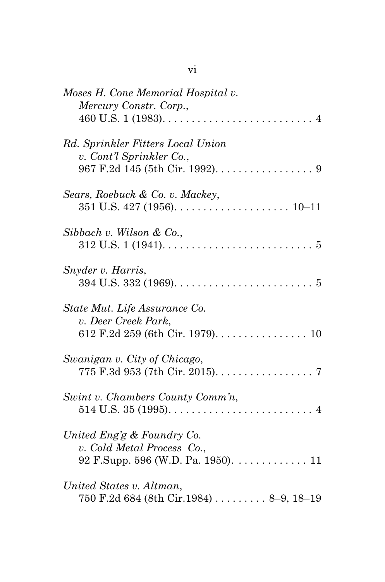| Moses H. Cone Memorial Hospital v.<br>Mercury Constr. Corp.,                                                             |
|--------------------------------------------------------------------------------------------------------------------------|
| Rd. Sprinkler Fitters Local Union<br>v. Cont'l Sprinkler Co.,                                                            |
| Sears, Roebuck & Co. v. Mackey,                                                                                          |
| Sibbach v. Wilson & Co.,                                                                                                 |
| Snyder v. Harris,                                                                                                        |
| State Mut. Life Assurance Co.<br>v. Deer Creek Park,                                                                     |
| Swanigan v. City of Chicago,<br>775 F.3d 953 (7th Cir. 2015). 7                                                          |
| Swint v. Chambers County Comm'n,                                                                                         |
| United Eng'g & Foundry Co.<br>v. Cold Metal Process Co.,<br>92 F.Supp. 596 (W.D. Pa. 1950). $\dots \dots \dots \dots 11$ |
| United States v. Altman,<br>750 F.2d 684 (8th Cir.1984)  8-9, 18-19                                                      |

vi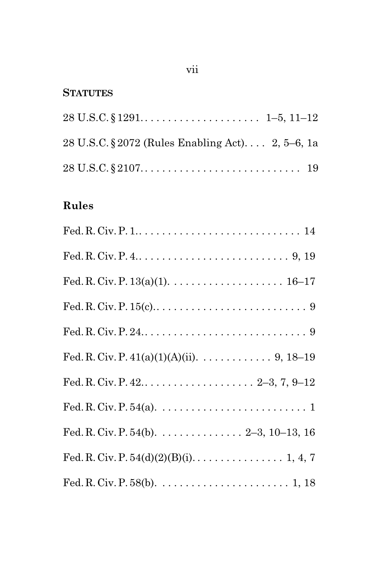#### **STATUTES**

| 28 U.S.C. § 2072 (Rules Enabling Act) 2, 5–6, 1a                                                     |  |
|------------------------------------------------------------------------------------------------------|--|
| $28 \text{ U.S.C.} \S 2107 \ldots \ldots \ldots \ldots \ldots \ldots \ldots \ldots \ldots \ldots 19$ |  |

## **Rules**

| Fed. R. Civ. P. $4. \ldots 1. \ldots 1. \ldots 1. \ldots 1. \ldots 9, 19$                               |
|---------------------------------------------------------------------------------------------------------|
|                                                                                                         |
|                                                                                                         |
| Fed. R. Civ. P. 24. $\dots$ . $\dots$ . $\dots$ . $\dots$ . $\dots$ . $\dots$ . $9$                     |
| Fed. R. Civ. P. $41(a)(1)(A)(ii)$ . 9, 18–19                                                            |
|                                                                                                         |
|                                                                                                         |
| Fed. R. Civ. P. 54(b). $\dots$ 2–3, 10–13, 16                                                           |
| Fed. R. Civ. P. $54(d)(2)(B)(i)$ . 1, 4, 7                                                              |
| Fed. R. Civ. P. 58(b). $\dots \dots \dots \dots \dots \dots \dots \dots \dots \dots \dots \dots 1$ , 18 |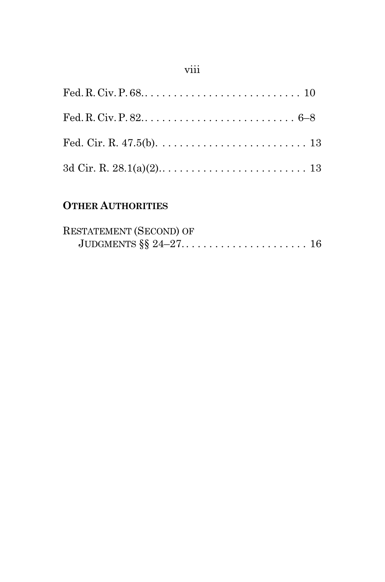## viii

## **OTHER AUTHORITIES**

| <b>RESTATEMENT (SECOND) OF</b> |  |
|--------------------------------|--|
|                                |  |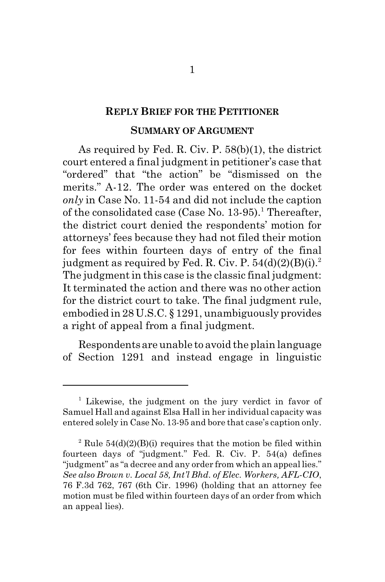#### **REPLY BRIEF FOR THE PETITIONER**

#### **SUMMARY OF ARGUMENT**

As required by Fed. R. Civ. P. 58(b)(1), the district court entered a final judgment in petitioner's case that "ordered" that "the action" be "dismissed on the merits." A-12. The order was entered on the docket *only* in Case No. 11-54 and did not include the caption of the consolidated case (Case No. 13-95).<sup>1</sup> Thereafter, the district court denied the respondents' motion for attorneys' fees because they had not filed their motion for fees within fourteen days of entry of the final judgment as required by Fed. R. Civ. P.  $54(d)(2)(B)(i).<sup>2</sup>$ The judgment in this case is the classic final judgment: It terminated the action and there was no other action for the district court to take. The final judgment rule, embodied in 28 U.S.C. § 1291, unambiguously provides a right of appeal from a final judgment.

Respondents are unable to avoid the plain language of Section 1291 and instead engage in linguistic

<sup>&</sup>lt;sup>1</sup> Likewise, the judgment on the jury verdict in favor of Samuel Hall and against Elsa Hall in her individual capacity was entered solely in Case No. 13-95 and bore that case's caption only.

<sup>&</sup>lt;sup>2</sup> Rule  $54(d)(2)(B)(i)$  requires that the motion be filed within fourteen days of "judgment." Fed. R. Civ. P. 54(a) defines "judgment" as "a decree and any order from which an appeal lies." *See also Brown v. Local 58, Int'l Bhd. of Elec. Workers, AFL-CIO*, 76 F.3d 762, 767 (6th Cir. 1996) (holding that an attorney fee motion must be filed within fourteen days of an order from which an appeal lies).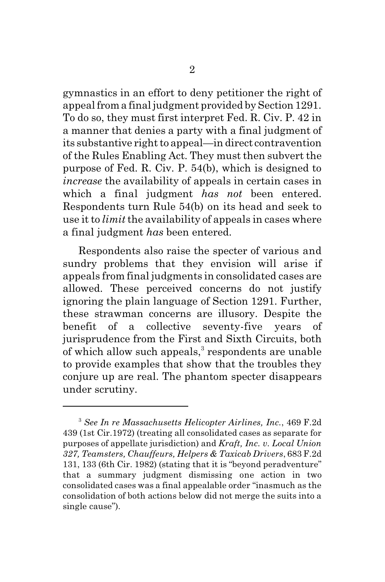gymnastics in an effort to deny petitioner the right of appeal from a final judgment provided by Section 1291. To do so, they must first interpret Fed. R. Civ. P. 42 in a manner that denies a party with a final judgment of its substantive right to appeal—in direct contravention of the Rules Enabling Act. They must then subvert the purpose of Fed. R. Civ. P. 54(b), which is designed to *increase* the availability of appeals in certain cases in which a final judgment *has not* been entered. Respondents turn Rule 54(b) on its head and seek to use it to *limit* the availability of appeals in cases where a final judgment *has* been entered.

Respondents also raise the specter of various and sundry problems that they envision will arise if appeals from final judgments in consolidated cases are allowed. These perceived concerns do not justify ignoring the plain language of Section 1291. Further, these strawman concerns are illusory. Despite the benefit of a collective seventy-five years of jurisprudence from the First and Sixth Circuits, both of which allow such appeals, $^3$  respondents are unable to provide examples that show that the troubles they conjure up are real. The phantom specter disappears under scrutiny.

<sup>3</sup>  *See In re Massachusetts Helicopter Airlines, Inc.*, 469 F.2d 439 (1st Cir.1972) (treating all consolidated cases as separate for purposes of appellate jurisdiction) and *Kraft, Inc. v. Local Union 327, Teamsters, Chauffeurs, Helpers & Taxicab Drivers*, 683 F.2d 131, 133 (6th Cir. 1982) (stating that it is "beyond peradventure" that a summary judgment dismissing one action in two consolidated cases was a final appealable order "inasmuch as the consolidation of both actions below did not merge the suits into a single cause").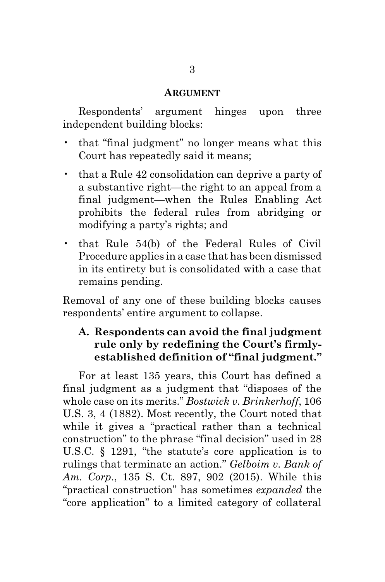#### **ARGUMENT**

Respondents' argument hinges upon three independent building blocks:

- that "final judgment" no longer means what this Court has repeatedly said it means;
- that a Rule 42 consolidation can deprive a party of a substantive right—the right to an appeal from a final judgment—when the Rules Enabling Act prohibits the federal rules from abridging or modifying a party's rights; and
- that Rule 54(b) of the Federal Rules of Civil Procedure applies in a case that has been dismissed in its entirety but is consolidated with a case that remains pending.

Removal of any one of these building blocks causes respondents' entire argument to collapse.

#### **A. Respondents can avoid the final judgment rule only by redefining the Court's firmlyestablished definition of "final judgment."**

For at least 135 years, this Court has defined a final judgment as a judgment that "disposes of the whole case on its merits." *Bostwick v. Brinkerhoff*, 106 U.S. 3, 4 (1882). Most recently, the Court noted that while it gives a "practical rather than a technical construction" to the phrase "final decision" used in 28 U.S.C. § 1291, "the statute's core application is to rulings that terminate an action." *Gelboim v. Bank of Am. Corp*., 135 S. Ct. 897, 902 (2015). While this "practical construction" has sometimes *expanded* the "core application" to a limited category of collateral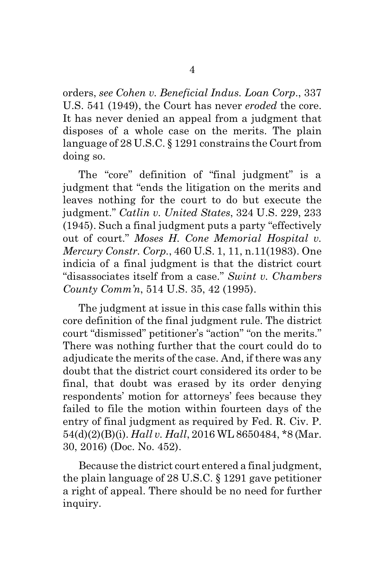orders, *see Cohen v. Beneficial Indus. Loan Corp*., 337 U.S. 541 (1949), the Court has never *eroded* the core. It has never denied an appeal from a judgment that disposes of a whole case on the merits. The plain language of 28 U.S.C. § 1291 constrains the Court from doing so.

The "core" definition of "final judgment" is a judgment that "ends the litigation on the merits and leaves nothing for the court to do but execute the judgment." *Catlin v. United States*, 324 U.S. 229, 233 (1945). Such a final judgment puts a party "effectively out of court." *Moses H. Cone Memorial Hospital v. Mercury Constr. Corp.*, 460 U.S. 1, 11, n.11(1983). One indicia of a final judgment is that the district court "disassociates itself from a case." *Swint v. Chambers County Comm'n*, 514 U.S. 35, 42 (1995).

The judgment at issue in this case falls within this core definition of the final judgment rule. The district court "dismissed" petitioner's "action" "on the merits." There was nothing further that the court could do to adjudicate the merits of the case. And, if there was any doubt that the district court considered its order to be final, that doubt was erased by its order denying respondents' motion for attorneys' fees because they failed to file the motion within fourteen days of the entry of final judgment as required by Fed. R. Civ. P. 54(d)(2)(B)(i). *Hall v. Hall*, 2016 WL 8650484, \*8 (Mar. 30, 2016) (Doc. No. 452).

Because the district court entered a final judgment, the plain language of 28 U.S.C. § 1291 gave petitioner a right of appeal. There should be no need for further inquiry.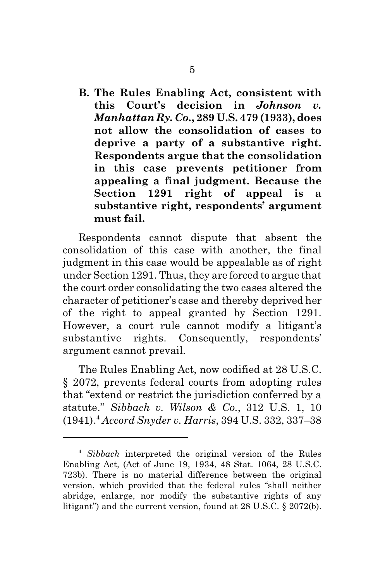**B. The Rules Enabling Act, consistent with this Court's decision in** *Johnson v. Manhattan Ry. Co.***, 289 U.S. 479 (1933), does not allow the consolidation of cases to deprive a party of a substantive right. Respondents argue that the consolidation in this case prevents petitioner from appealing a final judgment. Because the Section 1291 right of appeal is a substantive right, respondents' argument must fail.**

Respondents cannot dispute that absent the consolidation of this case with another, the final judgment in this case would be appealable as of right under Section 1291. Thus, they are forced to argue that the court order consolidating the two cases altered the character of petitioner's case and thereby deprived her of the right to appeal granted by Section 1291. However, a court rule cannot modify a litigant's substantive rights. Consequently, respondents' argument cannot prevail.

The Rules Enabling Act, now codified at 28 U.S.C. § 2072, prevents federal courts from adopting rules that "extend or restrict the jurisdiction conferred by a statute." *Sibbach v. Wilson & Co.*, 312 U.S. 1, 10 (1941).<sup>4</sup> *Accord Snyder v. Harris*, 394 U.S. 332, 337–38

<sup>4</sup> *Sibbach* interpreted the original version of the Rules Enabling Act, (Act of June 19, 1934, 48 Stat. 1064, 28 U.S.C. 723b). There is no material difference between the original version, which provided that the federal rules "shall neither abridge, enlarge, nor modify the substantive rights of any litigant") and the current version, found at 28 U.S.C. § 2072(b).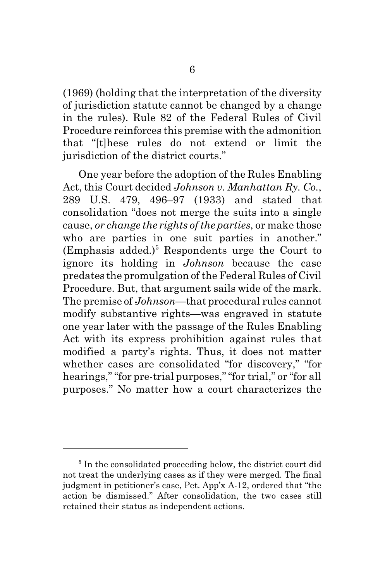(1969) (holding that the interpretation of the diversity of jurisdiction statute cannot be changed by a change in the rules). Rule 82 of the Federal Rules of Civil Procedure reinforces this premise with the admonition that "[t]hese rules do not extend or limit the jurisdiction of the district courts."

One year before the adoption of the Rules Enabling Act, this Court decided *Johnson v. Manhattan Ry. Co.*, 289 U.S. 479, 496–97 (1933) and stated that consolidation "does not merge the suits into a single cause, *or change the rights of the parties*, or make those who are parties in one suit parties in another." (Emphasis added.)<sup>5</sup> Respondents urge the Court to ignore its holding in *Johnson* because the case predates the promulgation of the Federal Rules of Civil Procedure. But, that argument sails wide of the mark. The premise of *Johnson*—that procedural rules cannot modify substantive rights—was engraved in statute one year later with the passage of the Rules Enabling Act with its express prohibition against rules that modified a party's rights. Thus, it does not matter whether cases are consolidated "for discovery," "for hearings," "for pre-trial purposes," "for trial," or "for all purposes." No matter how a court characterizes the

<sup>&</sup>lt;sup>5</sup> In the consolidated proceeding below, the district court did not treat the underlying cases as if they were merged. The final judgment in petitioner's case, Pet. App'x A-12, ordered that "the action be dismissed." After consolidation, the two cases still retained their status as independent actions.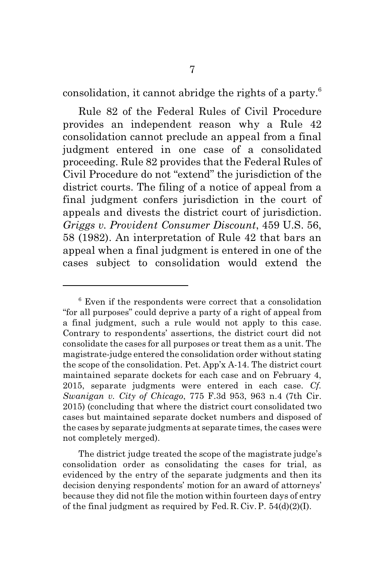consolidation, it cannot abridge the rights of a party.<sup>6</sup>

Rule 82 of the Federal Rules of Civil Procedure provides an independent reason why a Rule 42 consolidation cannot preclude an appeal from a final judgment entered in one case of a consolidated proceeding. Rule 82 provides that the Federal Rules of Civil Procedure do not "extend" the jurisdiction of the district courts. The filing of a notice of appeal from a final judgment confers jurisdiction in the court of appeals and divests the district court of jurisdiction. *Griggs v. Provident Consumer Discount*, 459 U.S. 56, 58 (1982). An interpretation of Rule 42 that bars an appeal when a final judgment is entered in one of the cases subject to consolidation would extend the

The district judge treated the scope of the magistrate judge's consolidation order as consolidating the cases for trial, as evidenced by the entry of the separate judgments and then its decision denying respondents' motion for an award of attorneys' because they did not file the motion within fourteen days of entry of the final judgment as required by Fed. R. Civ. P.  $54(d)(2)(I)$ .

<sup>6</sup> Even if the respondents were correct that a consolidation "for all purposes" could deprive a party of a right of appeal from a final judgment, such a rule would not apply to this case. Contrary to respondents' assertions, the district court did not consolidate the cases for all purposes or treat them as a unit. The magistrate-judge entered the consolidation order without stating the scope of the consolidation. Pet. App'x A-14. The district court maintained separate dockets for each case and on February 4, 2015, separate judgments were entered in each case. *Cf. Swanigan v. City of Chicago*, 775 F.3d 953, 963 n.4 (7th Cir. 2015) (concluding that where the district court consolidated two cases but maintained separate docket numbers and disposed of the cases by separate judgments at separate times, the cases were not completely merged).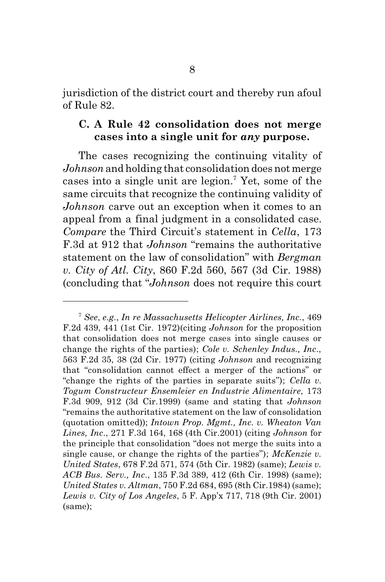jurisdiction of the district court and thereby run afoul of Rule 82.

#### **C. A Rule 42 consolidation does not merge cases into a single unit for** *any* **purpose.**

The cases recognizing the continuing vitality of *Johnson* and holding that consolidation does not merge cases into a single unit are legion.<sup>7</sup> Yet, some of the same circuits that recognize the continuing validity of *Johnson* carve out an exception when it comes to an appeal from a final judgment in a consolidated case. *Compare* the Third Circuit's statement in *Cella*, 173 F.3d at 912 that *Johnson* "remains the authoritative statement on the law of consolidation" with *Bergman v. City of Atl. City*, 860 F.2d 560, 567 (3d Cir. 1988) (concluding that "*Johnson* does not require this court

<sup>7</sup> *See*, *e.g.*, *In re Massachusetts Helicopter Airlines, Inc.*, 469 F.2d 439, 441 (1st Cir. 1972)(citing *Johnson* for the proposition that consolidation does not merge cases into single causes or change the rights of the parties); *Cole v. Schenley Indus., Inc*., 563 F.2d 35, 38 (2d Cir. 1977) (citing *Johnson* and recognizing that "consolidation cannot effect a merger of the actions" or "change the rights of the parties in separate suits"); *Cella v. Togum Constructeur Ensemleier en Industrie Alimentaire*, 173 F.3d 909, 912 (3d Cir.1999) (same and stating that *Johnson* "remains the authoritative statement on the law of consolidation (quotation omitted)); *Intown Prop. Mgmt., Inc. v. Wheaton Van Lines, Inc*., 271 F.3d 164, 168 (4th Cir.2001) (citing *Johnson* for the principle that consolidation "does not merge the suits into a single cause, or change the rights of the parties"); *McKenzie v. United States*, 678 F.2d 571, 574 (5th Cir. 1982) (same); *Lewis v. ACB Bus. Serv., Inc*., 135 F.3d 389, 412 (6th Cir. 1998) (same); *United States v. Altman*, 750 F.2d 684, 695 (8th Cir.1984) (same); *Lewis v. City of Los Angeles*, 5 F. App'x 717, 718 (9th Cir. 2001) (same);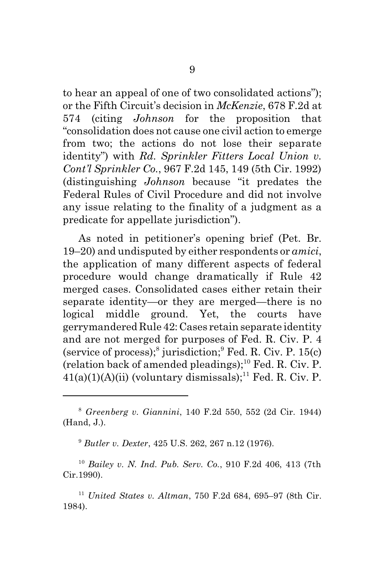to hear an appeal of one of two consolidated actions"); or the Fifth Circuit's decision in *McKenzie*, 678 F.2d at 574 (citing *Johnson* for the proposition that "consolidation does not cause one civil action to emerge from two; the actions do not lose their separate identity") with *Rd. Sprinkler Fitters Local Union v. Cont'l Sprinkler Co.*, 967 F.2d 145, 149 (5th Cir. 1992) (distinguishing *Johnson* because "it predates the Federal Rules of Civil Procedure and did not involve any issue relating to the finality of a judgment as a predicate for appellate jurisdiction").

As noted in petitioner's opening brief (Pet. Br. 19–20) and undisputed by either respondents or *amici*, the application of many different aspects of federal procedure would change dramatically if Rule 42 merged cases. Consolidated cases either retain their separate identity—or they are merged—there is no logical middle ground. Yet, the courts have gerrymandered Rule 42: Cases retain separate identity and are not merged for purposes of Fed. R. Civ. P. 4 (service of process);<sup>8</sup> jurisdiction;<sup>9</sup> Fed. R. Civ. P. 15(c) (relation back of amended pleadings); $^{10}$  Fed. R. Civ. P.  $41(a)(1)(A)(ii)$  (voluntary dismissals);<sup>11</sup> Fed. R. Civ. P.

<sup>9</sup> *Butler v. Dexter*, 425 U.S. 262, 267 n.12 (1976).

<sup>10</sup> *Bailey v. N. Ind. Pub. Serv. Co.*, 910 F.2d 406, 413 (7th Cir.1990).

<sup>11</sup> *United States v. Altman*, 750 F.2d 684, 695–97 (8th Cir. 1984).

<sup>8</sup> *Greenberg v. Giannini*, 140 F.2d 550, 552 (2d Cir. 1944) (Hand, J.).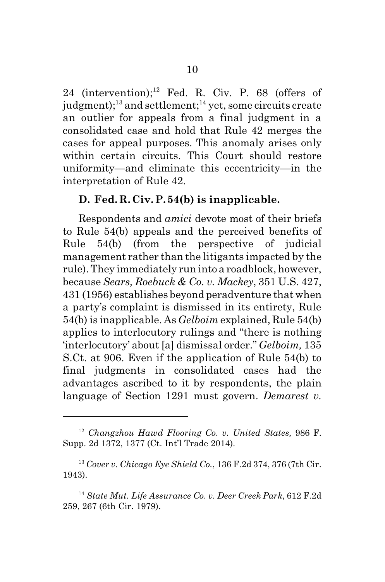24 (intervention); $^{12}$  Fed. R. Civ. P. 68 (offers of judgment);<sup>13</sup> and settlement;<sup>14</sup> yet, some circuits create an outlier for appeals from a final judgment in a consolidated case and hold that Rule 42 merges the cases for appeal purposes. This anomaly arises only within certain circuits. This Court should restore uniformity—and eliminate this eccentricity—in the interpretation of Rule 42.

#### **D. Fed. R. Civ. P. 54(b) is inapplicable.**

Respondents and *amici* devote most of their briefs to Rule 54(b) appeals and the perceived benefits of Rule 54(b) (from the perspective of judicial management rather than the litigants impacted by the rule). They immediately run into a roadblock, however, because *Sears, Roebuck & Co. v. Mackey*, 351 U.S. 427, 431 (1956) establishes beyond peradventure that when a party's complaint is dismissed in its entirety, Rule 54(b) is inapplicable. As *Gelboim* explained, Rule 54(b) applies to interlocutory rulings and "there is nothing 'interlocutory' about [a] dismissal order." *Gelboim,* 135 S.Ct. at 906. Even if the application of Rule 54(b) to final judgments in consolidated cases had the advantages ascribed to it by respondents, the plain language of Section 1291 must govern. *Demarest v.*

<sup>12</sup> *Changzhou Hawd Flooring Co. v. United States,* 986 F. Supp. 2d 1372, 1377 (Ct. Int'l Trade 2014).

<sup>13</sup> *Cover v. Chicago Eye Shield Co.*, 136 F.2d 374, 376 (7th Cir. 1943).

<sup>14</sup> *State Mut. Life Assurance Co. v. Deer Creek Park*, 612 F.2d 259, 267 (6th Cir. 1979).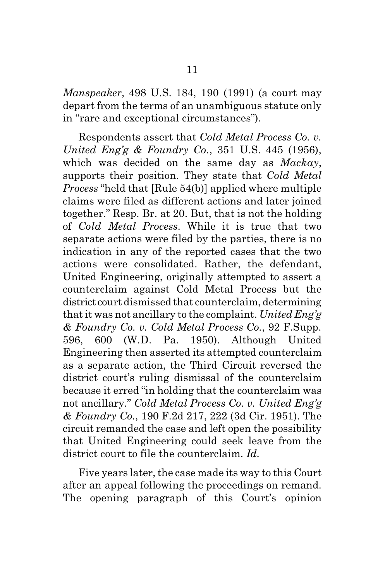*Manspeaker*, 498 U.S. 184, 190 (1991) (a court may depart from the terms of an unambiguous statute only in "rare and exceptional circumstances").

Respondents assert that *Cold Metal Process Co. v. United Eng'g & Foundry Co.*, 351 U.S. 445 (1956), which was decided on the same day as *Mackay*, supports their position. They state that *Cold Metal Process* "held that [Rule 54(b)] applied where multiple claims were filed as different actions and later joined together." Resp. Br. at 20. But, that is not the holding of *Cold Metal Process*. While it is true that two separate actions were filed by the parties, there is no indication in any of the reported cases that the two actions were consolidated. Rather, the defendant, United Engineering, originally attempted to assert a counterclaim against Cold Metal Process but the district court dismissed that counterclaim, determining that it was not ancillary to the complaint. *United Eng'g & Foundry Co. v. Cold Metal Process Co.*, 92 F.Supp. 596, 600 (W.D. Pa. 1950). Although United Engineering then asserted its attempted counterclaim as a separate action, the Third Circuit reversed the district court's ruling dismissal of the counterclaim because it erred "in holding that the counterclaim was not ancillary." *Cold Metal Process Co. v. United Eng'g & Foundry Co.*, 190 F.2d 217, 222 (3d Cir. 1951). The circuit remanded the case and left open the possibility that United Engineering could seek leave from the district court to file the counterclaim. *Id.*

Five years later, the case made its way to this Court after an appeal following the proceedings on remand. The opening paragraph of this Court's opinion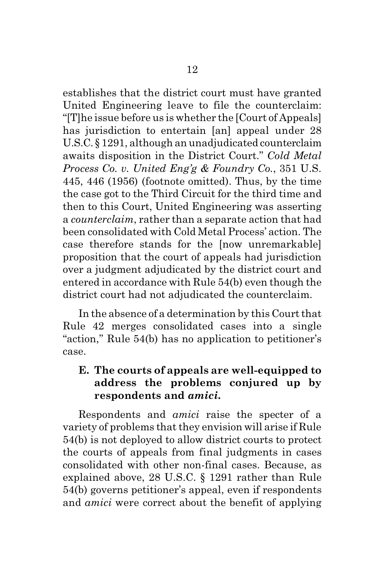establishes that the district court must have granted United Engineering leave to file the counterclaim: "[T]he issue before us is whether the [Court of Appeals] has jurisdiction to entertain [an] appeal under 28 U.S.C. § 1291, although an unadjudicated counterclaim awaits disposition in the District Court." *Cold Metal Process Co. v. United Eng'g & Foundry Co.*, 351 U.S. 445, 446 (1956) (footnote omitted). Thus, by the time the case got to the Third Circuit for the third time and then to this Court, United Engineering was asserting a *counterclaim*, rather than a separate action that had been consolidated with Cold Metal Process' action. The case therefore stands for the [now unremarkable] proposition that the court of appeals had jurisdiction over a judgment adjudicated by the district court and entered in accordance with Rule 54(b) even though the district court had not adjudicated the counterclaim.

In the absence of a determination by this Court that Rule 42 merges consolidated cases into a single "action," Rule 54(b) has no application to petitioner's case.

#### **E. The courts of appeals are well-equipped to address the problems conjured up by respondents and** *amici***.**

Respondents and *amici* raise the specter of a variety of problems that they envision will arise if Rule 54(b) is not deployed to allow district courts to protect the courts of appeals from final judgments in cases consolidated with other non-final cases. Because, as explained above, 28 U.S.C. § 1291 rather than Rule 54(b) governs petitioner's appeal, even if respondents and *amici* were correct about the benefit of applying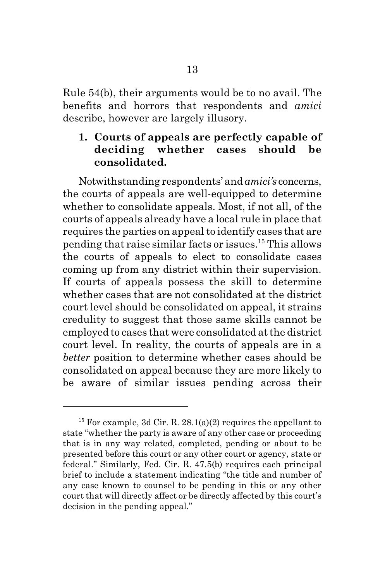Rule 54(b), their arguments would be to no avail. The benefits and horrors that respondents and *amici* describe, however are largely illusory.

#### **1. Courts of appeals are perfectly capable of deciding whether cases should be consolidated.**

Notwithstanding respondents' and *amici's* concerns, the courts of appeals are well-equipped to determine whether to consolidate appeals. Most, if not all, of the courts of appeals already have a local rule in place that requires the parties on appeal to identify cases that are pending that raise similar facts or issues.<sup>15</sup> This allows the courts of appeals to elect to consolidate cases coming up from any district within their supervision. If courts of appeals possess the skill to determine whether cases that are not consolidated at the district court level should be consolidated on appeal, it strains credulity to suggest that those same skills cannot be employed to cases that were consolidated at the district court level. In reality, the courts of appeals are in a *better* position to determine whether cases should be consolidated on appeal because they are more likely to be aware of similar issues pending across their

<sup>&</sup>lt;sup>15</sup> For example, 3d Cir. R. 28.1(a)(2) requires the appellant to state "whether the party is aware of any other case or proceeding that is in any way related, completed, pending or about to be presented before this court or any other court or agency, state or federal." Similarly, Fed. Cir. R. 47.5(b) requires each principal brief to include a statement indicating "the title and number of any case known to counsel to be pending in this or any other court that will directly affect or be directly affected by this court's decision in the pending appeal."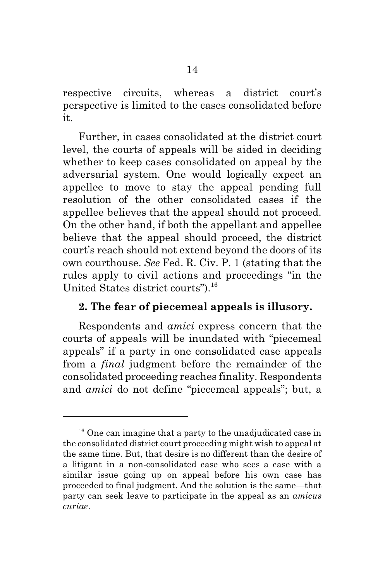respective circuits, whereas a district court's perspective is limited to the cases consolidated before it.

Further, in cases consolidated at the district court level, the courts of appeals will be aided in deciding whether to keep cases consolidated on appeal by the adversarial system. One would logically expect an appellee to move to stay the appeal pending full resolution of the other consolidated cases if the appellee believes that the appeal should not proceed. On the other hand, if both the appellant and appellee believe that the appeal should proceed, the district court's reach should not extend beyond the doors of its own courthouse. *See* Fed. R. Civ. P. 1 (stating that the rules apply to civil actions and proceedings "in the United States district courts").<sup>16</sup>

#### **2. The fear of piecemeal appeals is illusory.**

Respondents and *amici* express concern that the courts of appeals will be inundated with "piecemeal appeals" if a party in one consolidated case appeals from a *final* judgment before the remainder of the consolidated proceeding reaches finality. Respondents and *amici* do not define "piecemeal appeals"; but, a

<sup>&</sup>lt;sup>16</sup> One can imagine that a party to the unadjudicated case in the consolidated district court proceeding might wish to appeal at the same time. But, that desire is no different than the desire of a litigant in a non-consolidated case who sees a case with a similar issue going up on appeal before his own case has proceeded to final judgment. And the solution is the same—that party can seek leave to participate in the appeal as an *amicus curiae*.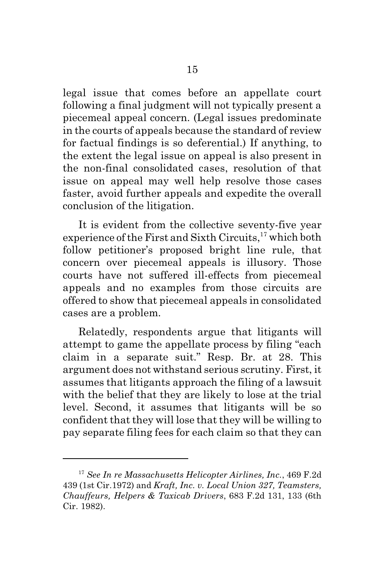legal issue that comes before an appellate court following a final judgment will not typically present a piecemeal appeal concern. (Legal issues predominate in the courts of appeals because the standard of review for factual findings is so deferential.) If anything, to the extent the legal issue on appeal is also present in the non-final consolidated cases, resolution of that issue on appeal may well help resolve those cases faster, avoid further appeals and expedite the overall conclusion of the litigation.

It is evident from the collective seventy-five year experience of the First and Sixth Circuits,<sup>17</sup> which both follow petitioner's proposed bright line rule, that concern over piecemeal appeals is illusory. Those courts have not suffered ill-effects from piecemeal appeals and no examples from those circuits are offered to show that piecemeal appeals in consolidated cases are a problem.

Relatedly, respondents argue that litigants will attempt to game the appellate process by filing "each claim in a separate suit." Resp. Br. at 28. This argument does not withstand serious scrutiny. First, it assumes that litigants approach the filing of a lawsuit with the belief that they are likely to lose at the trial level. Second, it assumes that litigants will be so confident that they will lose that they will be willing to pay separate filing fees for each claim so that they can

<sup>17</sup> *See In re Massachusetts Helicopter Airlines, Inc.*, 469 F.2d 439 (1st Cir.1972) and *Kraft, Inc. v. Local Union 327, Teamsters, Chauffeurs, Helpers & Taxicab Drivers*, 683 F.2d 131, 133 (6th Cir. 1982).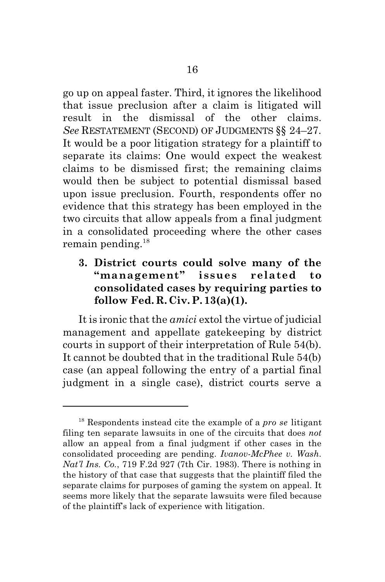go up on appeal faster. Third, it ignores the likelihood that issue preclusion after a claim is litigated will result in the dismissal of the other claims. *See* RESTATEMENT (SECOND) OF JUDGMENTS §§ 24–27. It would be a poor litigation strategy for a plaintiff to separate its claims: One would expect the weakest claims to be dismissed first; the remaining claims would then be subject to potential dismissal based upon issue preclusion. Fourth, respondents offer no evidence that this strategy has been employed in the two circuits that allow appeals from a final judgment in a consolidated proceeding where the other cases remain pending.<sup>18</sup>

### **3. District courts could solve many of the "management" issues related to consolidated cases by requiring parties to follow Fed. R. Civ. P. 13(a)(1).**

It is ironic that the *amici* extol the virtue of judicial management and appellate gatekeeping by district courts in support of their interpretation of Rule 54(b). It cannot be doubted that in the traditional Rule 54(b) case (an appeal following the entry of a partial final judgment in a single case), district courts serve a

<sup>18</sup> Respondents instead cite the example of a *pro se* litigant filing ten separate lawsuits in one of the circuits that does *not* allow an appeal from a final judgment if other cases in the consolidated proceeding are pending. *Ivanov-McPhee v. Wash. Nat'l Ins. Co.*, 719 F.2d 927 (7th Cir. 1983). There is nothing in the history of that case that suggests that the plaintiff filed the separate claims for purposes of gaming the system on appeal. It seems more likely that the separate lawsuits were filed because of the plaintiff's lack of experience with litigation.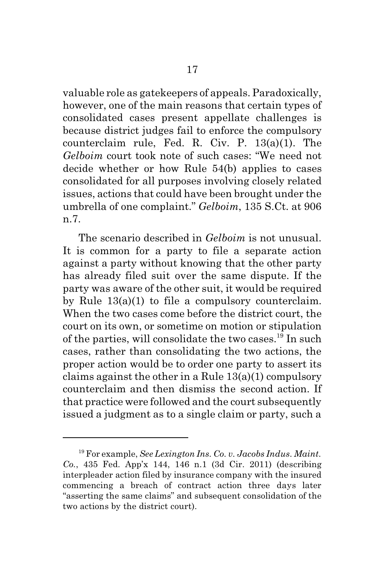valuable role as gatekeepers of appeals. Paradoxically, however, one of the main reasons that certain types of consolidated cases present appellate challenges is because district judges fail to enforce the compulsory counterclaim rule, Fed. R. Civ. P. 13(a)(1). The *Gelboim* court took note of such cases: "We need not decide whether or how Rule 54(b) applies to cases consolidated for all purposes involving closely related issues, actions that could have been brought under the umbrella of one complaint." *Gelboim*, 135 S.Ct. at 906 n.7.

The scenario described in *Gelboim* is not unusual. It is common for a party to file a separate action against a party without knowing that the other party has already filed suit over the same dispute. If the party was aware of the other suit, it would be required by Rule  $13(a)(1)$  to file a compulsory counterclaim. When the two cases come before the district court, the court on its own, or sometime on motion or stipulation of the parties, will consolidate the two cases.<sup>19</sup> In such cases, rather than consolidating the two actions, the proper action would be to order one party to assert its claims against the other in a Rule 13(a)(1) compulsory counterclaim and then dismiss the second action. If that practice were followed and the court subsequently issued a judgment as to a single claim or party, such a

<sup>19</sup> For example, *See Lexington Ins. Co. v. Jacobs Indus. Maint. Co.*, 435 Fed. App'x 144, 146 n.1 (3d Cir. 2011) (describing interpleader action filed by insurance company with the insured commencing a breach of contract action three days later "asserting the same claims" and subsequent consolidation of the two actions by the district court).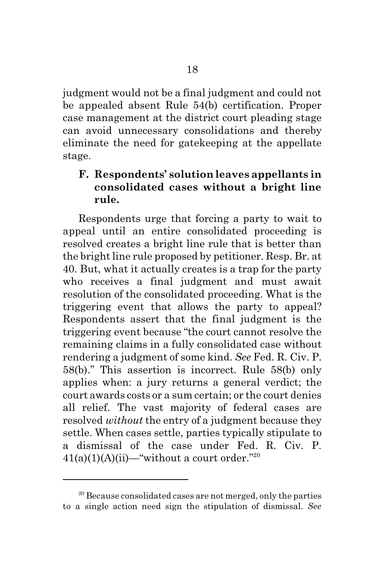judgment would not be a final judgment and could not be appealed absent Rule 54(b) certification. Proper case management at the district court pleading stage can avoid unnecessary consolidations and thereby eliminate the need for gatekeeping at the appellate stage.

#### **F. Respondents' solution leaves appellants in consolidated cases without a bright line rule.**

Respondents urge that forcing a party to wait to appeal until an entire consolidated proceeding is resolved creates a bright line rule that is better than the bright line rule proposed by petitioner. Resp. Br. at 40. But, what it actually creates is a trap for the party who receives a final judgment and must await resolution of the consolidated proceeding. What is the triggering event that allows the party to appeal? Respondents assert that the final judgment is the triggering event because "the court cannot resolve the remaining claims in a fully consolidated case without rendering a judgment of some kind. *See* Fed. R. Civ. P. 58(b)." This assertion is incorrect. Rule 58(b) only applies when: a jury returns a general verdict; the court awards costs or a sum certain; or the court denies all relief. The vast majority of federal cases are resolved *without* the entry of a judgment because they settle. When cases settle, parties typically stipulate to a dismissal of the case under Fed. R. Civ. P.  $41(a)(1)(A)(ii)$ —"without a court order."<sup>20</sup>

 $20$  Because consolidated cases are not merged, only the parties to a single action need sign the stipulation of dismissal. *See*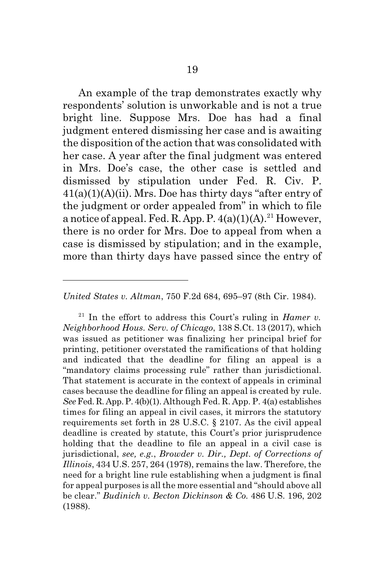An example of the trap demonstrates exactly why respondents' solution is unworkable and is not a true bright line. Suppose Mrs. Doe has had a final judgment entered dismissing her case and is awaiting the disposition of the action that was consolidated with her case. A year after the final judgment was entered in Mrs. Doe's case, the other case is settled and dismissed by stipulation under Fed. R. Civ. P.  $41(a)(1)(A)(ii)$ . Mrs. Doe has thirty days "after entry of the judgment or order appealed from" in which to file a notice of appeal. Fed. R. App. P.  $4(a)(1)(A)^{21}$  However, there is no order for Mrs. Doe to appeal from when a case is dismissed by stipulation; and in the example, more than thirty days have passed since the entry of

*United States v. Altman*, 750 F.2d 684, 695–97 (8th Cir. 1984).

 $21$  In the effort to address this Court's ruling in *Hamer v. Neighborhood Hous. Serv. of Chicago*, 138 S.Ct. 13 (2017), which was issued as petitioner was finalizing her principal brief for printing, petitioner overstated the ramifications of that holding and indicated that the deadline for filing an appeal is a "mandatory claims processing rule" rather than jurisdictional. That statement is accurate in the context of appeals in criminal cases because the deadline for filing an appeal is created by rule. *See* Fed. R. App. P. 4(b)(1). Although Fed. R. App. P. 4(a) establishes times for filing an appeal in civil cases, it mirrors the statutory requirements set forth in 28 U.S.C. § 2107. As the civil appeal deadline is created by statute, this Court's prior jurisprudence holding that the deadline to file an appeal in a civil case is jurisdictional, *see, e.g.*, *Browder v. Dir., Dept. of Corrections of Illinois*, 434 U.S. 257, 264 (1978), remains the law. Therefore, the need for a bright line rule establishing when a judgment is final for appeal purposes is all the more essential and "should above all be clear." *Budinich v. Becton Dickinson & Co.* 486 U.S. 196, 202 (1988).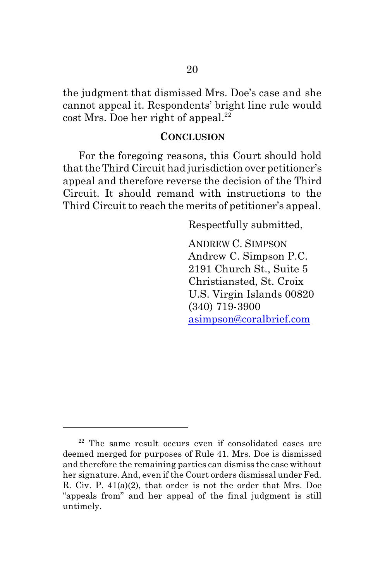the judgment that dismissed Mrs. Doe's case and she cannot appeal it. Respondents' bright line rule would  $\cot Mrs$ . Doe her right of appeal.<sup>22</sup>

#### **CONCLUSION**

For the foregoing reasons, this Court should hold that the Third Circuit had jurisdiction over petitioner's appeal and therefore reverse the decision of the Third Circuit. It should remand with instructions to the Third Circuit to reach the merits of petitioner's appeal.

Respectfully submitted,

ANDREW C. SIMPSON Andrew C. Simpson P.C. 2191 Church St., Suite 5 Christiansted, St. Croix U.S. Virgin Islands 00820 (340) 719-3900 [asimpson@coralbrief.com](mailto:asimpson@coralbrief.com)

<sup>22</sup> The same result occurs even if consolidated cases are deemed merged for purposes of Rule 41. Mrs. Doe is dismissed and therefore the remaining parties can dismiss the case without her signature. And, even if the Court orders dismissal under Fed. R. Civ. P. 41(a)(2), that order is not the order that Mrs. Doe "appeals from" and her appeal of the final judgment is still untimely.